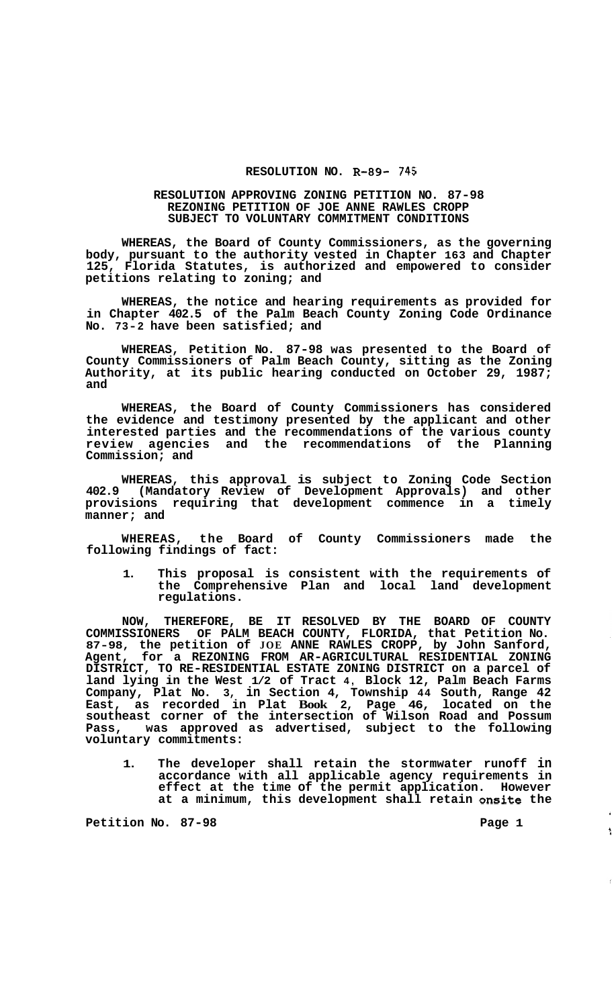## **RESOLUTION NO. R-89- 745**

## **RESOLUTION APPROVING ZONING PETITION NO. 87-98 REZONING PETITION OF JOE ANNE RAWLES CROPP SUBJECT TO VOLUNTARY COMMITMENT CONDITIONS**

**WHEREAS, the Board of County Commissioners, as the governing body, pursuant to the authority vested in Chapter 163 and Chapter 125, Florida Statutes, is authorized and empowered to consider petitions relating to zoning; and** 

**WHEREAS, the notice and hearing requirements as provided for in Chapter 402.5 of the Palm Beach County Zoning Code Ordinance No. 73-2 have been satisfied; and** 

**WHEREAS, Petition No. 87-98 was presented to the Board of County Commissioners of Palm Beach County, sitting as the Zoning Authority, at its public hearing conducted on October 29, 1987; and** 

**WHEREAS, the Board of County Commissioners has considered the evidence and testimony presented by the applicant and other interested parties and the recommendations of the various county review agencies and the recommendations of the Planning Commission; and** 

**WHEREAS, this approval is subject to Zoning Code Section 402.9 (Mandatory Review of Development Approvals) and other provisions requiring that development commence in a timely manner; and** 

**WHEREAS, the Board of County Commissioners made the following findings of fact:** 

**1. This proposal is consistent with the requirements of the Comprehensive Plan and local land development regulations.** 

**NOW, THEREFORE, BE IT RESOLVED BY THE BOARD OF COUNTY COMMISSIONERS OF PALM BEACH COUNTY, FLORIDA, that Petition No. 87-98, the petition of JOE ANNE RAWLES CROPP, by John Sanford, Agent, for a REZONING FROM AR-AGRICULTURAL RESIDENTIAL ZONING DISTRICT, TO RE-RESIDENTIAL ESTATE ZONING DISTRICT on a parcel of land lying in the West 1/2 of Tract 4, Block 12, Palm Beach Farms Company, Plat No. 3, in Section 4, Township 44 South, Range 42 East, as recorded in Plat Book 2, Page 46, located on the southeast corner of the intersection of Wilson Road and Possum Pass, was approved as advertised, subject to the following voluntary commitments:** 

**1. The developer shall retain the stormwater runoff in accordance with all applicable agency requirements in effect at the time of the permit application. However at a minimum, this development shall retain onsite the** 

Petition No. 87-98 **Page 1 Page 1** 

 $\hat{\star}$  $\frac{1}{2}$ 

 $\hat{\mathbf{f}}$